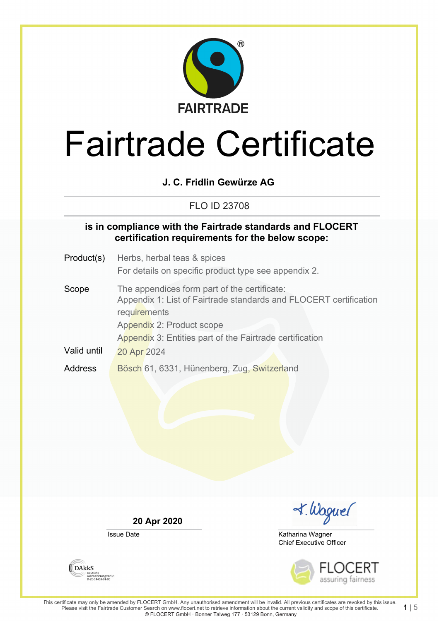

## **J. C. Fridlin Gewürze AG**

## FLO ID 23708

### **is in compliance with the Fairtrade standards and FLOCERT certification requirements for the below scope:**

- Product(s) Herbs, herbal teas & spices For details on specific product type see appendix 2.
- Scope The appendices form part of the certificate: Appendix 1: List of Fairtrade standards and FLOCERT certification **requirements** Appendix 2: Product scope Appendix 3: Entities part of the Fairtrade certification Valid until 20 Apr 2024 Address Bösch 61, 6331, Hünenberg, Zug, Switzerland

**20 Apr 2020**

Issue Date

I. Waguel

Chief Executive Officer Katharina Wagner



**DAKKS** Akkreditierungsstelle<br>D-ZE-14408-01-00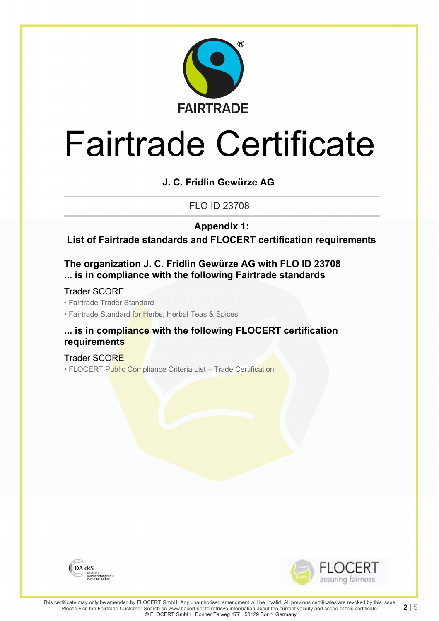

## **J. C. Fridlin Gewürze AG**

FLO ID 23708

**Appendix 1:**

**List of Fairtrade standards and FLOCERT certification requirements**

## **The organization J. C. Fridlin Gewürze AG with FLO ID 23708 ... is in compliance with the following Fairtrade standards**

Trader SCORE

• Fairtrade Trader Standard

• Fairtrade Standard for Herbs, Herbal Teas & Spices

### **... is in compliance with the following FLOCERT certification requirements**

Trader SCORE • FLOCERT Public Compliance Criteria List - Trade Certification



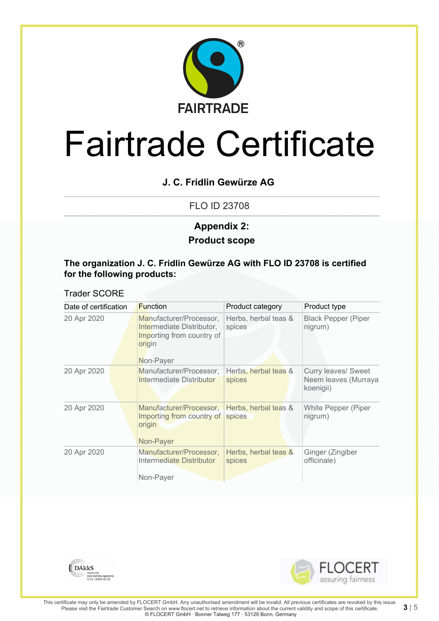

## **J. C. Fridlin Gewürze AG**

FLO ID 23708

## **Product scope Appendix 2:**

#### **The organization J. C. Fridlin Gewürze AG with FLO ID 23708 is certified for the following products:**

#### Trader SCORE

| Date of certification | <b>Function</b>                                                                                          | Product category               | Product type                                             |
|-----------------------|----------------------------------------------------------------------------------------------------------|--------------------------------|----------------------------------------------------------|
| 20 Apr 2020           | Manufacturer/Processor,<br>Intermediate Distributor,<br>Importing from country of<br>origin<br>Non-Payer | Herbs, herbal teas &<br>spices | <b>Black Pepper (Piper</b><br>nigrum)                    |
| 20 Apr 2020           | Manufacturer/Processor,<br>Intermediate Distributor                                                      | Herbs, herbal teas &<br>spices | Curry leaves/ Sweet<br>Neem leaves (Murraya<br>koenigii) |
| 20 Apr 2020           | Manufacturer/Processor,<br>Importing from country of<br>origin<br>Non-Payer                              | Herbs, herbal teas &<br>spices | White Pepper (Piper<br>nigrum)                           |
| 20 Apr 2020           | Manufacturer/Processor,<br>Intermediate Distributor                                                      | Herbs, herbal teas &<br>spices | Ginger (Zingiber<br>officinale)                          |
|                       | Non-Payer                                                                                                |                                |                                                          |



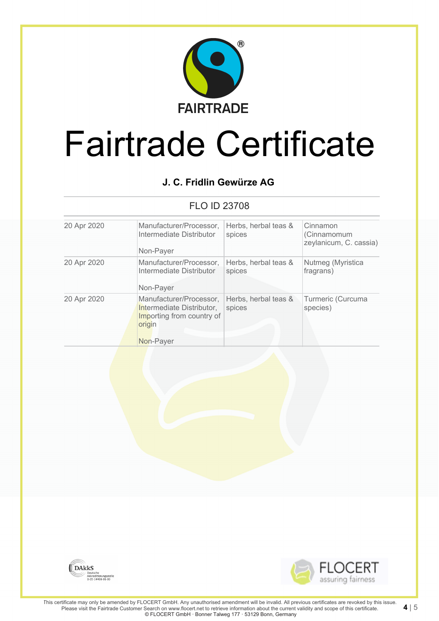

# **J. C. Fridlin Gewürze AG**

## FLO ID 23708

| 20 Apr 2020 | Manufacturer/Processor,<br>Intermediate Distributor<br>Non-Payer                                         | Herbs, herbal teas &<br>spices | Cinnamon<br>(Cinnamomum<br>zeylanicum, C. cassia) |
|-------------|----------------------------------------------------------------------------------------------------------|--------------------------------|---------------------------------------------------|
| 20 Apr 2020 | Manufacturer/Processor,<br>Intermediate Distributor<br>Non-Payer                                         | Herbs, herbal teas &<br>spices | Nutmeg (Myristica<br>fragrans)                    |
| 20 Apr 2020 | Manufacturer/Processor,<br>Intermediate Distributor,<br>Importing from country of<br>origin<br>Non-Payer | Herbs, herbal teas &<br>spices | Turmeric (Curcuma<br>species)                     |